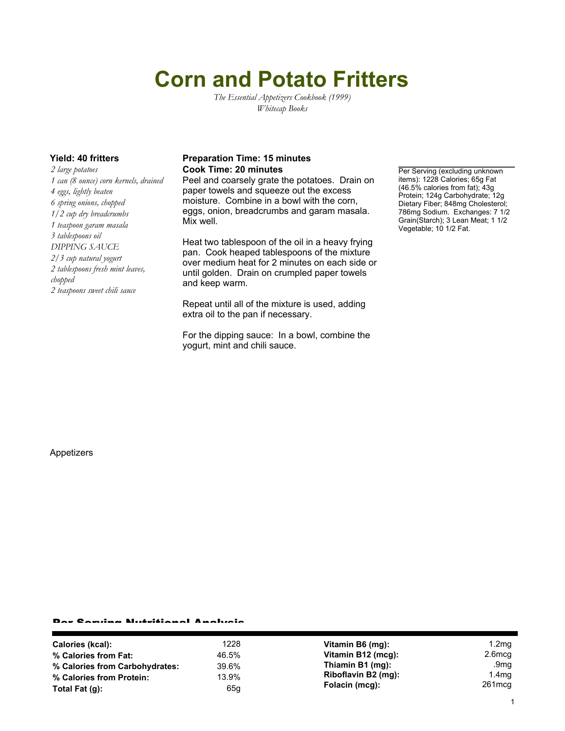# **Corn and Potato Fritters**

*The Essential Appetizers Cookbook (1999) Whitecap Books*

*2 large potatoes 1 can (8 ounce) corn kernels, drained 4 eggs, lightly beaten 6 spring onions, chopped 1/2 cup dry breadcrumbs 1 teaspoon garam masala 3 tablespoons oil DIPPING SAUCE 2/3 cup natural yogurt 2 tablespoons fresh mint leaves, chopped 2 teaspoons sweet chili sauce*

### **Yield: 40 fritters Preparation Time: 15 minutes Cook Time: 20 minutes Per Serving (excluding unknown**

Peel and coarsely grate the potatoes. Drain on paper towels and squeeze out the excess moisture. Combine in a bowl with the corn, eggs, onion, breadcrumbs and garam masala. Mix well.

Heat two tablespoon of the oil in a heavy frying pan. Cook heaped tablespoons of the mixture over medium heat for 2 minutes on each side or until golden. Drain on crumpled paper towels and keep warm.

Repeat until all of the mixture is used, adding extra oil to the pan if necessary.

For the dipping sauce: In a bowl, combine the yogurt, mint and chili sauce.

items): 1228 Calories; 65g Fat (46.5% calories from fat); 43g Protein; 124g Carbohydrate; 12g Dietary Fiber; 848mg Cholesterol; 786mg Sodium. Exchanges: 7 1/2 Grain(Starch); 3 Lean Meat; 1 1/2 Vegetable; 10 1/2 Fat.

Appetizers

#### Per Serving Nutritional Analysis

| Calories (kcal):               | 1228  | Vitamin B6 (mg):    | 1.2 <sub>mq</sub> |
|--------------------------------|-------|---------------------|-------------------|
| % Calories from Fat:           | 46.5% | Vitamin B12 (mcg):  | $2.6$ mcq         |
| % Calories from Carbohydrates: | 39.6% | Thiamin B1 (mg):    | .9mg              |
| % Calories from Protein:       | 13.9% | Riboflavin B2 (mg): | 1.4 <sub>mg</sub> |
| Total Fat $(q)$ :              | 65g   | Folacin (mcg):      | 261mcg            |